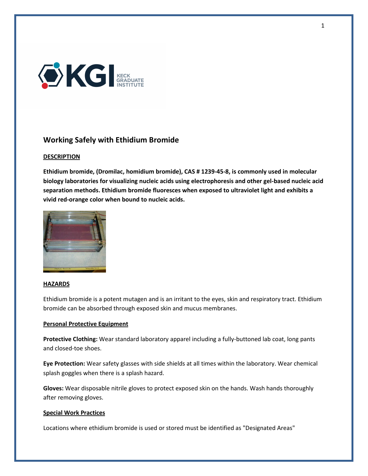

# Working Safely with Ethidium Bromide

# **DESCRIPTION**

Ethidium bromide, (Dromilac, homidium bromide), CAS # 1239-45-8, is commonly used in molecular biology laboratories for visualizing nucleic acids using electrophoresis and other gel-based nucleic acid separation methods. Ethidium bromide fluoresces when exposed to ultraviolet light and exhibits a vivid red-orange color when bound to nucleic acids.



#### **HAZARDS**

Ethidium bromide is a potent mutagen and is an irritant to the eyes, skin and respiratory tract. Ethidium bromide can be absorbed through exposed skin and mucus membranes.

# Personal Protective Equipment

Protective Clothing: Wear standard laboratory apparel including a fully-buttoned lab coat, long pants and closed-toe shoes.

Eye Protection: Wear safety glasses with side shields at all times within the laboratory. Wear chemical splash goggles when there is a splash hazard.

Gloves: Wear disposable nitrile gloves to protect exposed skin on the hands. Wash hands thoroughly after removing gloves.

#### Special Work Practices

Locations where ethidium bromide is used or stored must be identified as "Designated Areas"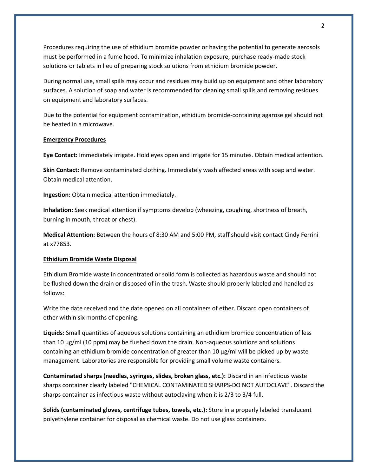Procedures requiring the use of ethidium bromide powder or having the potential to generate aerosols must be performed in a fume hood. To minimize inhalation exposure, purchase ready-made stock solutions or tablets in lieu of preparing stock solutions from ethidium bromide powder.

During normal use, small spills may occur and residues may build up on equipment and other laboratory surfaces. A solution of soap and water is recommended for cleaning small spills and removing residues on equipment and laboratory surfaces.

Due to the potential for equipment contamination, ethidium bromide-containing agarose gel should not be heated in a microwave.

### Emergency Procedures

Eye Contact: Immediately irrigate. Hold eyes open and irrigate for 15 minutes. Obtain medical attention.

Skin Contact: Remove contaminated clothing. Immediately wash affected areas with soap and water. Obtain medical attention.

Ingestion: Obtain medical attention immediately.

Inhalation: Seek medical attention if symptoms develop (wheezing, coughing, shortness of breath, burning in mouth, throat or chest).

Medical Attention: Between the hours of 8:30 AM and 5:00 PM, staff should visit contact Cindy Ferrini at x77853.

#### Ethidium Bromide Waste Disposal

Ethidium Bromide waste in concentrated or solid form is collected as hazardous waste and should not be flushed down the drain or disposed of in the trash. Waste should properly labeled and handled as follows:

Write the date received and the date opened on all containers of ether. Discard open containers of ether within six months of opening.

Liquids: Small quantities of aqueous solutions containing an ethidium bromide concentration of less than 10 µg/ml (10 ppm) may be flushed down the drain. Non-aqueous solutions and solutions containing an ethidium bromide concentration of greater than 10 µg/ml will be picked up by waste management. Laboratories are responsible for providing small volume waste containers.

Contaminated sharps (needles, syringes, slides, broken glass, etc.): Discard in an infectious waste sharps container clearly labeled "CHEMICAL CONTAMINATED SHARPS-DO NOT AUTOCLAVE". Discard the sharps container as infectious waste without autoclaving when it is 2/3 to 3/4 full.

Solids (contaminated gloves, centrifuge tubes, towels, etc.): Store in a properly labeled translucent polyethylene container for disposal as chemical waste. Do not use glass containers.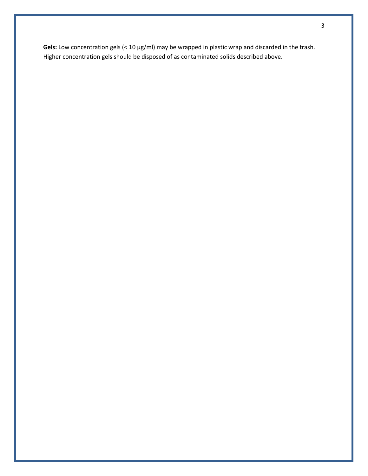Gels: Low concentration gels (< 10 µg/ml) may be wrapped in plastic wrap and discarded in the trash. Higher concentration gels should be disposed of as contaminated solids described above.